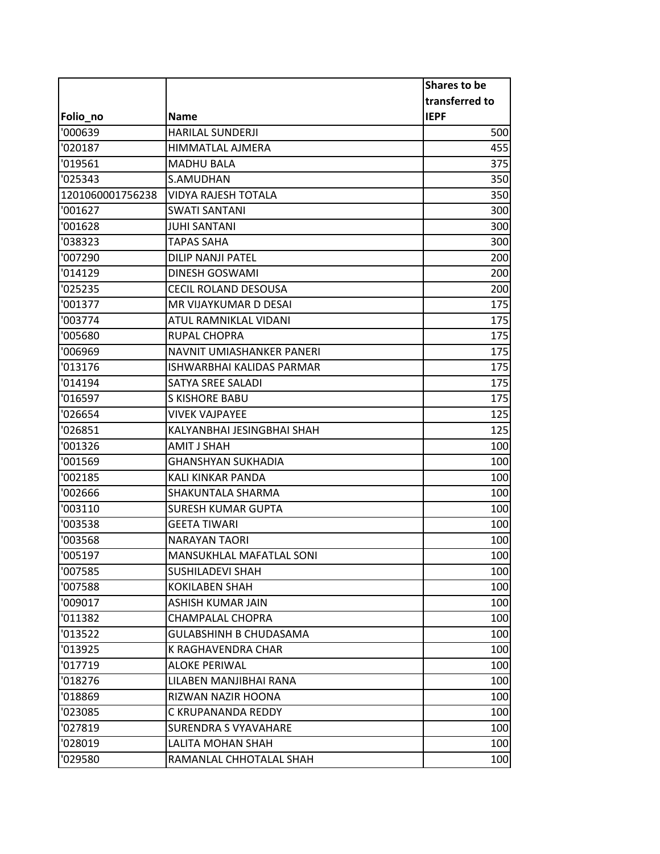|                  |                                  | <b>Shares to be</b> |
|------------------|----------------------------------|---------------------|
|                  |                                  | transferred to      |
| Folio_no         | Name                             | <b>IEPF</b>         |
| '000639          | <b>HARILAL SUNDERJI</b>          | 500                 |
| '020187          | HIMMATLAL AJMERA                 | 455                 |
| '019561          | <b>MADHU BALA</b>                | 375                 |
| '025343          | S.AMUDHAN                        | 350                 |
| 1201060001756238 | VIDYA RAJESH TOTALA              | 350                 |
| '001627          | <b>SWATI SANTANI</b>             | 300                 |
| '001628          | <b>JUHI SANTANI</b>              | 300                 |
| '038323          | <b>TAPAS SAHA</b>                | 300                 |
| '007290          | DILIP NANJI PATEL                | 200                 |
| '014129          | DINESH GOSWAMI                   | 200                 |
| '025235          | <b>CECIL ROLAND DESOUSA</b>      | 200                 |
| '001377          | MR VIJAYKUMAR D DESAI            | 175                 |
| '003774          | ATUL RAMNIKLAL VIDANI            | 175                 |
| '005680          | <b>RUPAL CHOPRA</b>              | 175                 |
| '006969          | NAVNIT UMIASHANKER PANERI        | 175                 |
| '013176          | <b>ISHWARBHAI KALIDAS PARMAR</b> | 175                 |
| '014194          | SATYA SREE SALADI                | 175                 |
| '016597          | <b>S KISHORE BABU</b>            | 175                 |
| '026654          | <b>VIVEK VAJPAYEE</b>            | 125                 |
| '026851          | KALYANBHAI JESINGBHAI SHAH       | 125                 |
| '001326          | AMIT J SHAH                      | 100                 |
| '001569          | <b>GHANSHYAN SUKHADIA</b>        | 100                 |
| '002185          | KALI KINKAR PANDA                | 100                 |
| '002666          | SHAKUNTALA SHARMA                | 100                 |
| '003110          | <b>SURESH KUMAR GUPTA</b>        | 100                 |
| '003538          | <b>GEETA TIWARI</b>              | 100                 |
| '003568          | <b>NARAYAN TAORI</b>             | 100                 |
| '005197          | MANSUKHLAL MAFATLAL SONI         | 100                 |
| '007585          | SUSHILADEVI SHAH                 | 100                 |
| '007588          | KOKILABEN SHAH                   | 100                 |
| '009017          | ASHISH KUMAR JAIN                | 100                 |
| '011382          | CHAMPALAL CHOPRA                 | 100                 |
| '013522          | GULABSHINH B CHUDASAMA           | 100                 |
| '013925          | K RAGHAVENDRA CHAR               | 100                 |
| '017719          | <b>ALOKE PERIWAL</b>             | 100                 |
| '018276          | LILABEN MANJIBHAI RANA           | 100                 |
| '018869          | RIZWAN NAZIR HOONA               | 100                 |
| '023085          | C KRUPANANDA REDDY               | 100                 |
| '027819          | SURENDRA S VYAVAHARE             | 100                 |
| '028019          | LALITA MOHAN SHAH                | 100                 |
| '029580          | RAMANLAL CHHOTALAL SHAH          | 100                 |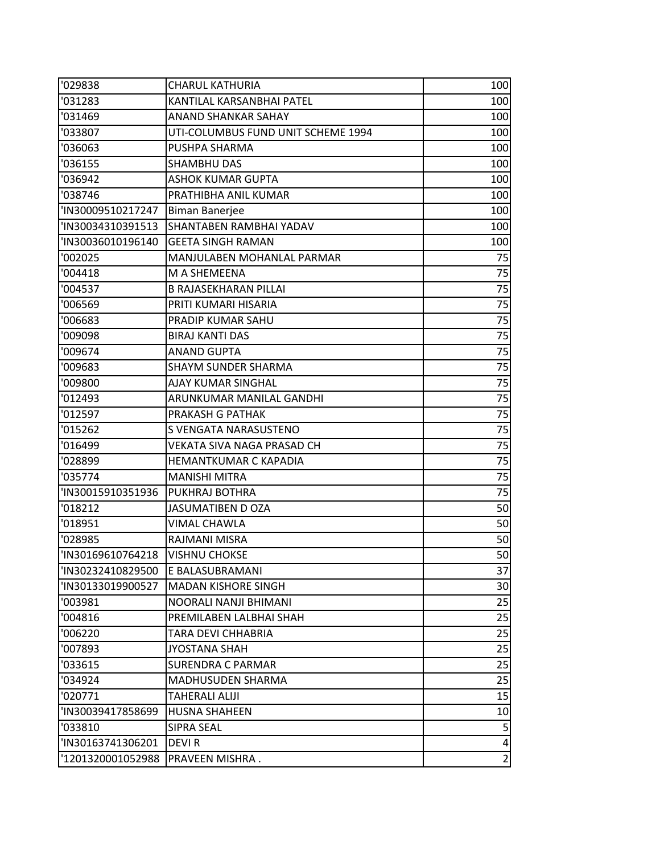| '029838           | <b>CHARUL KATHURIA</b>             | 100            |
|-------------------|------------------------------------|----------------|
| '031283           | KANTILAL KARSANBHAI PATEL          | 100            |
| '031469           | ANAND SHANKAR SAHAY                | 100            |
| '033807           | UTI-COLUMBUS FUND UNIT SCHEME 1994 | 100            |
| '036063           | PUSHPA SHARMA                      | 100            |
| '036155           | SHAMBHU DAS                        | 100            |
| '036942           | <b>ASHOK KUMAR GUPTA</b>           | 100            |
| '038746           | PRATHIBHA ANIL KUMAR               | 100            |
| 'IN30009510217247 | <b>Biman Banerjee</b>              | 100            |
| 'IN30034310391513 | SHANTABEN RAMBHAI YADAV            | 100            |
| 'IN30036010196140 | <b>GEETA SINGH RAMAN</b>           | 100            |
| '002025           | MANJULABEN MOHANLAL PARMAR         | 75             |
| '004418           | M A SHEMEENA                       | 75             |
| '004537           | <b>B RAJASEKHARAN PILLAI</b>       | 75             |
| '006569           | PRITI KUMARI HISARIA               | 75             |
| '006683           | PRADIP KUMAR SAHU                  | 75             |
| '009098           | <b>BIRAJ KANTI DAS</b>             | 75             |
| '009674           | <b>ANAND GUPTA</b>                 | 75             |
| '009683           | <b>SHAYM SUNDER SHARMA</b>         | 75             |
| '009800           | AJAY KUMAR SINGHAL                 | 75             |
| '012493           | ARUNKUMAR MANILAL GANDHI           | 75             |
| '012597           | PRAKASH G PATHAK                   | 75             |
| '015262           | S VENGATA NARASUSTENO              | 75             |
| '016499           | VEKATA SIVA NAGA PRASAD CH         | 75             |
| '028899           | <b>HEMANTKUMAR C KAPADIA</b>       | 75             |
| '035774           | <b>MANISHI MITRA</b>               | 75             |
| 'IN30015910351936 | PUKHRAJ BOTHRA                     | 75             |
| '018212           | <b>JASUMATIBEN D OZA</b>           | 50             |
| '018951           | VIMAL CHAWLA                       | 50             |
| '028985           | RAJMANI MISRA                      | 50             |
| 'IN30169610764218 | <b>VISHNU CHOKSE</b>               | 50             |
| 'IN30232410829500 | E BALASUBRAMANI                    | 37             |
| 'IN30133019900527 | <b>MADAN KISHORE SINGH</b>         | 30             |
| '003981           | NOORALI NANJI BHIMANI              | 25             |
| '004816           | PREMILABEN LALBHAI SHAH            | 25             |
| '006220           | TARA DEVI CHHABRIA                 | 25             |
| '007893           | <b>JYOSTANA SHAH</b>               | 25             |
| '033615           | <b>SURENDRA C PARMAR</b>           | 25             |
| '034924           | MADHUSUDEN SHARMA                  | 25             |
| '020771           | <b>TAHERALI ALIJI</b>              | 15             |
| 'IN30039417858699 | <b>HUSNA SHAHEEN</b>               | 10             |
| '033810           | SIPRA SEAL                         | 5              |
| 'IN30163741306201 | DEVI R                             | 4              |
| '1201320001052988 | PRAVEEN MISHRA.                    | $\overline{2}$ |